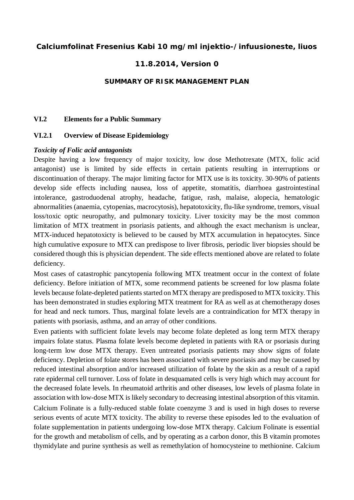### **Calciumfolinat Fresenius Kabi 10 mg/ml injektio-/infuusioneste, liuos**

## **11.8.2014, Version 0**

#### **SUMMARY OF RISK MANAGEMENT PLAN**

#### **VI.2 Elements for a Public Summary**

#### **VI.2.1 Overview of Disease Epidemiology**

#### *Toxicity of Folic acid antagonists*

Despite having a low frequency of major toxicity, low dose Methotrexate (MTX, folic acid antagonist) use is limited by side effects in certain patients resulting in interruptions or discontinuation of therapy. The major limiting factor for MTX use is its toxicity. 30-90% of patients develop side effects including nausea, loss of appetite, stomatitis, diarrhoea gastrointestinal intolerance, gastroduodenal atrophy, headache, fatigue, rash, malaise, alopecia, hematologic abnormalities (anaemia, cytopenias, macrocytosis), hepatotoxicity, flu-like syndrome, tremors, visual loss/toxic optic neuropathy, and pulmonary toxicity. Liver toxicity may be the most common limitation of MTX treatment in psoriasis patients, and although the exact mechanism is unclear, MTX-induced hepatotoxicty is believed to be caused by MTX accumulation in hepatocytes. Since high cumulative exposure to MTX can predispose to liver fibrosis, periodic liver biopsies should be considered though this is physician dependent. The side effects mentioned above are related to folate deficiency.

Most cases of catastrophic pancytopenia following MTX treatment occur in the context of folate deficiency. Before initiation of MTX, some recommend patients be screened for low plasma folate levels because folate-depleted patients started on MTX therapy are predisposed to MTX toxicity. This has been demonstrated in studies exploring MTX treatment for RA as well as at chemotherapy doses for head and neck tumors. Thus, marginal folate levels are a contraindication for MTX therapy in patients with psoriasis, asthma, and an array of other conditions.

Even patients with sufficient folate levels may become folate depleted as long term MTX therapy impairs folate status. Plasma folate levels become depleted in patients with RA or psoriasis during long-term low dose MTX therapy. Even untreated psoriasis patients may show signs of folate deficiency. Depletion of folate stores has been associated with severe psoriasis and may be caused by reduced intestinal absorption and/or increased utilization of folate by the skin as a result of a rapid rate epidermal cell turnover. Loss of folate in desquamated cells is very high which may account for the decreased folate levels. In rheumatoid arthritis and other diseases, low levels of plasma folate in association with low-dose MTX is likely secondary to decreasing intestinal absorption of this vitamin.

Calcium Folinate is a fully-reduced stable folate coenzyme 3 and is used in high doses to reverse serious events of acute MTX toxicity. The ability to reverse these episodes led to the evaluation of folate supplementation in patients undergoing low-dose MTX therapy. Calcium Folinate is essential for the growth and metabolism of cells, and by operating as a carbon donor, this B vitamin promotes thymidylate and purine synthesis as well as remethylation of homocysteine to methionine. Calcium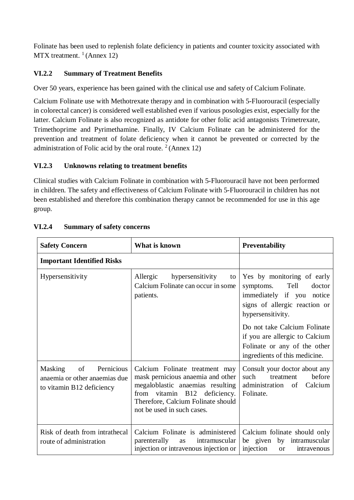Folinate has been used to replenish folate deficiency in patients and counter toxicity associated with  $MTX$  treatment.<sup>1</sup> (Annex 12)

## **VI.2.2 Summary of Treatment Benefits**

Over 50 years, experience has been gained with the clinical use and safety of Calcium Folinate.

Calcium Folinate use with Methotrexate therapy and in combination with 5-Fluorouracil (especially in colorectal cancer) is considered well established even if various posologies exist, especially for the latter. Calcium Folinate is also recognized as antidote for other folic acid antagonists Trimetrexate, Trimethoprime and Pyrimethamine. Finally, IV Calcium Folinate can be administered for the prevention and treatment of folate deficiency when it cannot be prevented or corrected by the administration of Folic acid by the oral route.  $2$  (Annex 12)

## **VI.2.3 Unknowns relating to treatment benefits**

Clinical studies with Calcium Folinate in combination with 5-Fluorouracil have not been performed in children. The safety and effectiveness of Calcium Folinate with 5-Fluorouracil in children has not been established and therefore this combination therapy cannot be recommended for use in this age group.

| <b>Safety Concern</b>                                                                  | What is known                                                                                                                                                                                               | <b>Preventability</b>                                                                                                                                                                                                                                                           |
|----------------------------------------------------------------------------------------|-------------------------------------------------------------------------------------------------------------------------------------------------------------------------------------------------------------|---------------------------------------------------------------------------------------------------------------------------------------------------------------------------------------------------------------------------------------------------------------------------------|
| <b>Important Identified Risks</b>                                                      |                                                                                                                                                                                                             |                                                                                                                                                                                                                                                                                 |
| Hypersensitivity                                                                       | Allergic<br>hypersensitivity<br>to<br>Calcium Folinate can occur in some<br>patients.                                                                                                                       | Yes by monitoring of early<br>Tell<br>doctor<br>symptoms.<br>immediately if you notice<br>signs of allergic reaction or<br>hypersensitivity.<br>Do not take Calcium Folinate<br>if you are allergic to Calcium<br>Folinate or any of the other<br>ingredients of this medicine. |
| Masking of<br>Pernicious<br>anaemia or other anaemias due<br>to vitamin B12 deficiency | Calcium Folinate treatment may<br>mask pernicious anaemia and other<br>megaloblastic anaemias resulting<br>from vitamin B12 deficiency.<br>Therefore, Calcium Folinate should<br>not be used in such cases. | Consult your doctor about any<br>such<br>before<br>treatment<br>Calcium<br>administration<br>of<br>Folinate.                                                                                                                                                                    |
| Risk of death from intrathecal<br>route of administration                              | Calcium Folinate is administered<br>parenterally<br>intramuscular<br>as<br>injection or intravenous injection or                                                                                            | Calcium folinate should only<br>be given by intramuscular<br>injection<br>intravenous<br><sub>or</sub>                                                                                                                                                                          |

# **VI.2.4 Summary of safety concerns**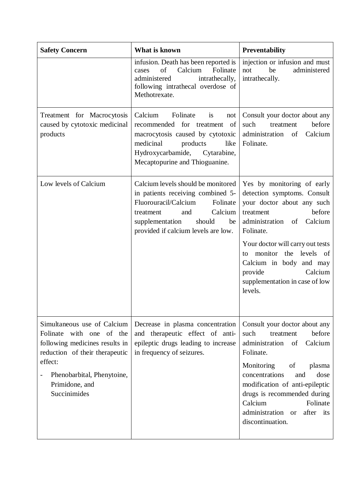| <b>Safety Concern</b>                                                                                                                                                                                  | What is known                                                                                                                                                                                                        | <b>Preventability</b>                                                                                                                                                                                                                                                                                                |
|--------------------------------------------------------------------------------------------------------------------------------------------------------------------------------------------------------|----------------------------------------------------------------------------------------------------------------------------------------------------------------------------------------------------------------------|----------------------------------------------------------------------------------------------------------------------------------------------------------------------------------------------------------------------------------------------------------------------------------------------------------------------|
|                                                                                                                                                                                                        | infusion. Death has been reported is<br>of<br>Calcium<br>Folinate<br>cases<br>administered<br>intrathecally,<br>following intrathecal overdose of<br>Methotrexate.                                                   | injection or infusion and must<br>be<br>administered<br>not<br>intrathecally.                                                                                                                                                                                                                                        |
| Treatment for Macrocytosis<br>caused by cytotoxic medicinal<br>products                                                                                                                                | Calcium<br>Folinate<br>is<br>not<br>recommended for treatment<br>of<br>macrocytosis caused by cytotoxic<br>medicinal<br>products<br>like<br>Hydroxycarbamide, Cytarabine,<br>Mecaptopurine and Thioguanine.          | Consult your doctor about any<br>before<br>such<br>treatment<br>Calcium<br>administration<br>of<br>Folinate.                                                                                                                                                                                                         |
| Low levels of Calcium                                                                                                                                                                                  | Calcium levels should be monitored<br>in patients receiving combined 5-<br>Fluorouracil/Calcium<br>Folinate<br>Calcium<br>and<br>treatment<br>supplementation<br>should<br>be<br>provided if calcium levels are low. | Yes by monitoring of early<br>detection symptoms. Consult<br>your doctor about any such<br>before<br>treatment<br>administration<br>Calcium<br>of<br>Folinate.<br>Your doctor will carry out tests<br>monitor the levels of<br>to<br>Calcium in body and may<br>Calcium<br>provide<br>supplementation in case of low |
|                                                                                                                                                                                                        |                                                                                                                                                                                                                      | levels.                                                                                                                                                                                                                                                                                                              |
| Simultaneous use of Calcium<br>Folinate with one of the<br>following medicines results in<br>reduction of their therapeutic<br>effect:<br>Phenobarbital, Phenytoine,<br>Primidone, and<br>Succinimides | Decrease in plasma concentration<br>and therapeutic effect of anti-<br>epileptic drugs leading to increase<br>in frequency of seizures.                                                                              | Consult your doctor about any<br>before<br>such<br>treatment<br>administration<br>Calcium<br>of<br>Folinate.                                                                                                                                                                                                         |
|                                                                                                                                                                                                        |                                                                                                                                                                                                                      | Monitoring<br>of<br>plasma<br>concentrations<br>dose<br>and<br>modification of anti-epileptic<br>drugs is recommended during<br>Calcium<br>Folinate<br>administration<br>after its<br><sub>or</sub><br>discontinuation.                                                                                              |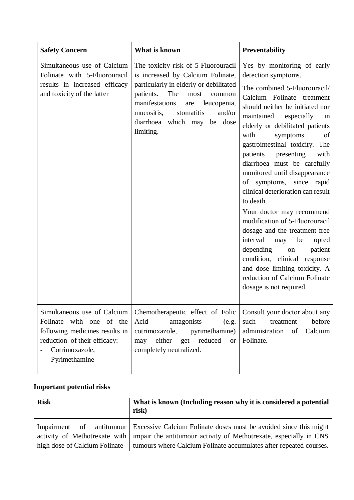| <b>Safety Concern</b>                                                                                                                                        | What is known                                                                                                                                                                                                                                                                      | <b>Preventability</b>                                                                                                                                                                                                                                                                                                                                                                                                                                                                                                                                                                                                                                                                                                                                         |
|--------------------------------------------------------------------------------------------------------------------------------------------------------------|------------------------------------------------------------------------------------------------------------------------------------------------------------------------------------------------------------------------------------------------------------------------------------|---------------------------------------------------------------------------------------------------------------------------------------------------------------------------------------------------------------------------------------------------------------------------------------------------------------------------------------------------------------------------------------------------------------------------------------------------------------------------------------------------------------------------------------------------------------------------------------------------------------------------------------------------------------------------------------------------------------------------------------------------------------|
| Simultaneous use of Calcium<br>Folinate with 5-Fluorouracil<br>results in increased efficacy<br>and toxicity of the latter                                   | The toxicity risk of 5-Fluorouracil<br>is increased by Calcium Folinate,<br>particularly in elderly or debilitated<br>The<br>patients.<br>most<br>common<br>manifestations<br>leucopenia,<br>are<br>and/or<br>mucositis,<br>stomatitis<br>diarrhoea which may be dose<br>limiting. | Yes by monitoring of early<br>detection symptoms.<br>The combined 5-Fluorouracil/<br>Calcium Folinate treatment<br>should neither be initiated nor<br>maintained especially<br>in<br>elderly or debilitated patients<br>with<br>symptoms<br>of<br>gastrointestinal toxicity. The<br>patients<br>presenting<br>with<br>diarrhoea must be carefully<br>monitored until disappearance<br>of symptoms, since rapid<br>clinical deterioration can result<br>to death.<br>Your doctor may recommend<br>modification of 5-Fluorouracil<br>dosage and the treatment-free<br>interval<br>be<br>opted<br>may<br>patient<br>depending<br>on<br>condition, clinical response<br>and dose limiting toxicity. A<br>reduction of Calcium Folinate<br>dosage is not required. |
| Simultaneous use of Calcium<br>Folinate with one of the<br>following medicines results in<br>reduction of their efficacy:<br>Cotrimoxazole,<br>Pyrimethamine | Chemotherapeutic effect of Folic<br>Acid<br>antagonists<br>(e.g.<br>cotrimoxazole,<br>pyrimethamine)<br>either get reduced<br>may<br><b>or</b><br>completely neutralized.                                                                                                          | Consult your doctor about any<br>before<br>such<br>treatment<br>Calcium<br>administration<br>of<br>Folinate.                                                                                                                                                                                                                                                                                                                                                                                                                                                                                                                                                                                                                                                  |

# **Important potential risks**

| <b>Risk</b>                   | What is known (Including reason why it is considered a potential<br>risk)                                                                                                                                                                                             |
|-------------------------------|-----------------------------------------------------------------------------------------------------------------------------------------------------------------------------------------------------------------------------------------------------------------------|
| high dose of Calcium Folinate | Impairment of antitumour Excessive Calcium Folinate doses must be avoided since this might<br>activity of Methotrexate with   impair the antitumour activity of Methotrexate, especially in CNS<br>tumours where Calcium Folinate accumulates after repeated courses. |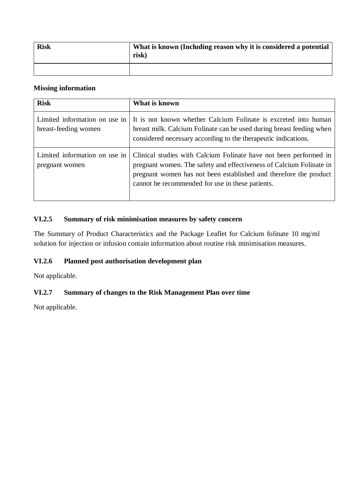| <b>Risk</b> | What is known (Including reason why it is considered a potential<br>risk) |
|-------------|---------------------------------------------------------------------------|
|             |                                                                           |

### **Missing information**

| <b>Risk</b>                                           | What is known                                                                                                                                                                                                                                                     |
|-------------------------------------------------------|-------------------------------------------------------------------------------------------------------------------------------------------------------------------------------------------------------------------------------------------------------------------|
| Limited information on use in<br>breast-feeding women | It is not known whether Calcium Folinate is excreted into human<br>breast milk. Calcium Folinate can be used during breast feeding when<br>considered necessary according to the therapeutic indications.                                                         |
| Limited information on use in<br>pregnant women       | Clinical studies with Calcium Folinate have not been performed in<br>pregnant women. The safety and effectiveness of Calcium Folinate in<br>pregnant women has not been established and therefore the product<br>cannot be recommended for use in these patients. |

## **VI.2.5 Summary of risk minimisation measures by safety concern**

The Summary of Product Characteristics and the Package Leaflet for Calcium folinate 10 mg/ml solution for injection or infusion contain information about routine risk minimisation measures.

## **VI.2.6 Planned post authorisation development plan**

Not applicable.

## **VI.2.7 Summary of changes to the Risk Management Plan over time**

Not applicable.